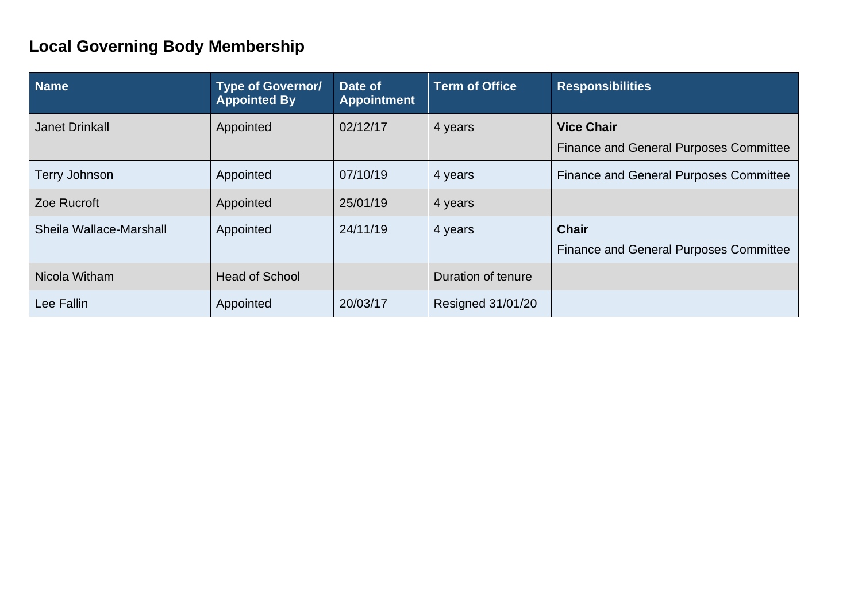## **Local Governing Body Membership**

| <b>Name</b>             | <b>Type of Governor/</b><br><b>Appointed By</b> | Date of<br><b>Appointment</b> | <b>Term of Office</b> | <b>Responsibilities</b>                                            |
|-------------------------|-------------------------------------------------|-------------------------------|-----------------------|--------------------------------------------------------------------|
| <b>Janet Drinkall</b>   | Appointed                                       | 02/12/17                      | 4 years               | <b>Vice Chair</b><br><b>Finance and General Purposes Committee</b> |
| <b>Terry Johnson</b>    | Appointed                                       | 07/10/19                      | 4 years               | <b>Finance and General Purposes Committee</b>                      |
| Zoe Rucroft             | Appointed                                       | 25/01/19                      | 4 years               |                                                                    |
| Sheila Wallace-Marshall | Appointed                                       | 24/11/19                      | 4 years               | <b>Chair</b><br><b>Finance and General Purposes Committee</b>      |
| Nicola Witham           | <b>Head of School</b>                           |                               | Duration of tenure    |                                                                    |
| Lee Fallin              | Appointed                                       | 20/03/17                      | Resigned 31/01/20     |                                                                    |